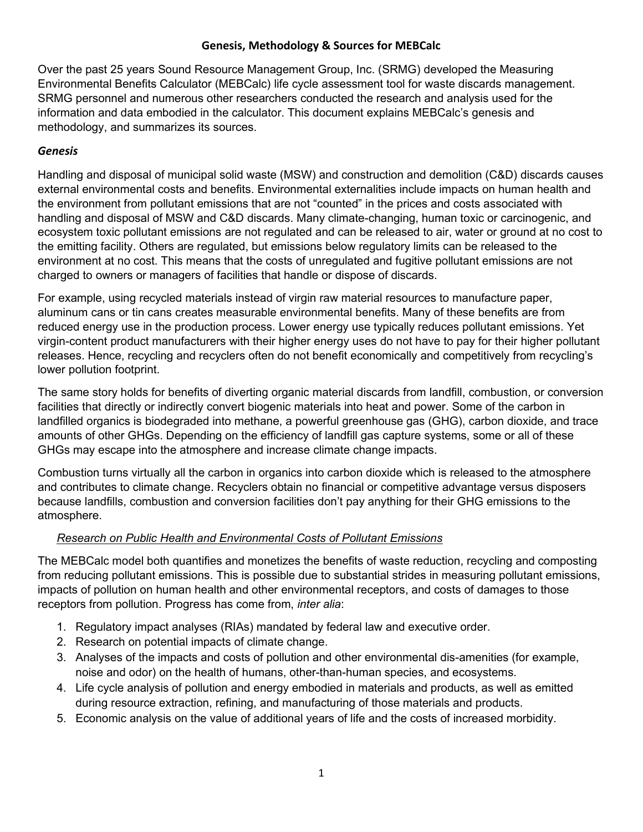## **Genesis, Methodology & Sources for MEBCalc**

Over the past 25 years Sound Resource Management Group, Inc. (SRMG) developed the Measuring Environmental Benefits Calculator (MEBCalc) life cycle assessment tool for waste discards management. SRMG personnel and numerous other researchers conducted the research and analysis used for the information and data embodied in the calculator. This document explains MEBCalc's genesis and methodology, and summarizes its sources.

### *Genesis*

Handling and disposal of municipal solid waste (MSW) and construction and demolition (C&D) discards causes external environmental costs and benefits. Environmental externalities include impacts on human health and the environment from pollutant emissions that are not "counted" in the prices and costs associated with handling and disposal of MSW and C&D discards. Many climate-changing, human toxic or carcinogenic, and ecosystem toxic pollutant emissions are not regulated and can be released to air, water or ground at no cost to the emitting facility. Others are regulated, but emissions below regulatory limits can be released to the environment at no cost. This means that the costs of unregulated and fugitive pollutant emissions are not charged to owners or managers of facilities that handle or dispose of discards.

For example, using recycled materials instead of virgin raw material resources to manufacture paper, aluminum cans or tin cans creates measurable environmental benefits. Many of these benefits are from reduced energy use in the production process. Lower energy use typically reduces pollutant emissions. Yet virgin-content product manufacturers with their higher energy uses do not have to pay for their higher pollutant releases. Hence, recycling and recyclers often do not benefit economically and competitively from recycling's lower pollution footprint.

The same story holds for benefits of diverting organic material discards from landfill, combustion, or conversion facilities that directly or indirectly convert biogenic materials into heat and power. Some of the carbon in landfilled organics is biodegraded into methane, a powerful greenhouse gas (GHG), carbon dioxide, and trace amounts of other GHGs. Depending on the efficiency of landfill gas capture systems, some or all of these GHGs may escape into the atmosphere and increase climate change impacts.

Combustion turns virtually all the carbon in organics into carbon dioxide which is released to the atmosphere and contributes to climate change. Recyclers obtain no financial or competitive advantage versus disposers because landfills, combustion and conversion facilities don't pay anything for their GHG emissions to the atmosphere.

## *Research on Public Health and Environmental Costs of Pollutant Emissions*

The MEBCalc model both quantifies and monetizes the benefits of waste reduction, recycling and composting from reducing pollutant emissions. This is possible due to substantial strides in measuring pollutant emissions, impacts of pollution on human health and other environmental receptors, and costs of damages to those receptors from pollution. Progress has come from, *inter alia*:

- 1. Regulatory impact analyses (RIAs) mandated by federal law and executive order.
- 2. Research on potential impacts of climate change.
- 3. Analyses of the impacts and costs of pollution and other environmental dis-amenities (for example, noise and odor) on the health of humans, other-than-human species, and ecosystems.
- 4. Life cycle analysis of pollution and energy embodied in materials and products, as well as emitted during resource extraction, refining, and manufacturing of those materials and products.
- 5. Economic analysis on the value of additional years of life and the costs of increased morbidity.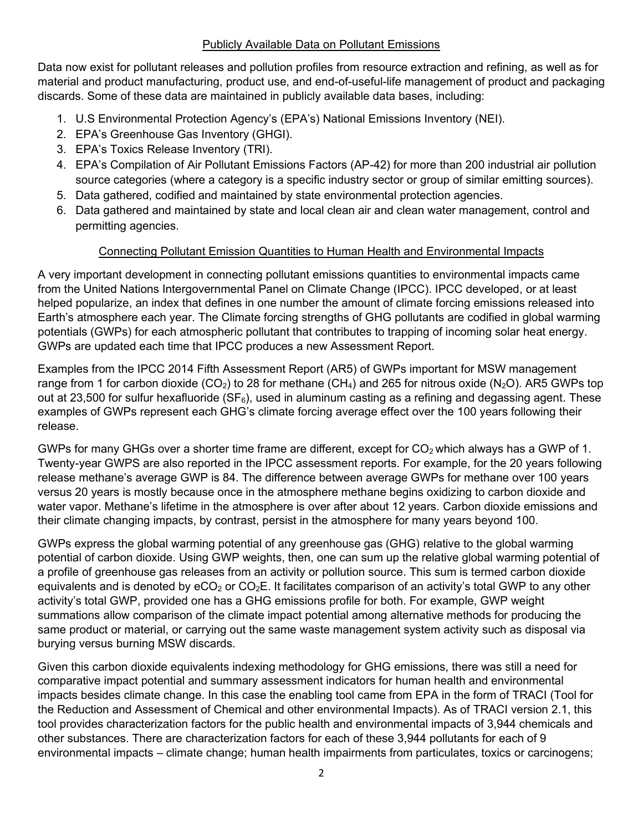### Publicly Available Data on Pollutant Emissions

Data now exist for pollutant releases and pollution profiles from resource extraction and refining, as well as for material and product manufacturing, product use, and end-of-useful-life management of product and packaging discards. Some of these data are maintained in publicly available data bases, including:

- 1. U.S Environmental Protection Agency's (EPA's) National Emissions Inventory (NEI).
- 2. EPA's Greenhouse Gas Inventory (GHGI).
- 3. EPA's Toxics Release Inventory (TRI).
- 4. EPA's Compilation of Air Pollutant Emissions Factors (AP-42) for more than 200 industrial air pollution source categories (where a category is a specific industry sector or group of similar emitting sources).
- 5. Data gathered, codified and maintained by state environmental protection agencies.
- 6. Data gathered and maintained by state and local clean air and clean water management, control and permitting agencies.

# Connecting Pollutant Emission Quantities to Human Health and Environmental Impacts

A very important development in connecting pollutant emissions quantities to environmental impacts came from the United Nations Intergovernmental Panel on Climate Change (IPCC). IPCC developed, or at least helped popularize, an index that defines in one number the amount of climate forcing emissions released into Earth's atmosphere each year. The Climate forcing strengths of GHG pollutants are codified in global warming potentials (GWPs) for each atmospheric pollutant that contributes to trapping of incoming solar heat energy. GWPs are updated each time that IPCC produces a new Assessment Report.

Examples from the IPCC 2014 Fifth Assessment Report (AR5) of GWPs important for MSW management range from 1 for carbon dioxide (CO<sub>2</sub>) to 28 for methane (CH<sub>4</sub>) and 265 for nitrous oxide (N<sub>2</sub>O). AR5 GWPs top out at 23,500 for sulfur hexafluoride ( $SF<sub>6</sub>$ ), used in aluminum casting as a refining and degassing agent. These examples of GWPs represent each GHG's climate forcing average effect over the 100 years following their release.

GWPs for many GHGs over a shorter time frame are different, except for  $CO<sub>2</sub>$  which always has a GWP of 1. Twenty-year GWPS are also reported in the IPCC assessment reports. For example, for the 20 years following release methane's average GWP is 84. The difference between average GWPs for methane over 100 years versus 20 years is mostly because once in the atmosphere methane begins oxidizing to carbon dioxide and water vapor. Methane's lifetime in the atmosphere is over after about 12 years. Carbon dioxide emissions and their climate changing impacts, by contrast, persist in the atmosphere for many years beyond 100.

GWPs express the global warming potential of any greenhouse gas (GHG) relative to the global warming potential of carbon dioxide. Using GWP weights, then, one can sum up the relative global warming potential of a profile of greenhouse gas releases from an activity or pollution source. This sum is termed carbon dioxide equivalents and is denoted by  $eCO<sub>2</sub>$  or  $CO<sub>2</sub>E$ . It facilitates comparison of an activity's total GWP to any other activity's total GWP, provided one has a GHG emissions profile for both. For example, GWP weight summations allow comparison of the climate impact potential among alternative methods for producing the same product or material, or carrying out the same waste management system activity such as disposal via burying versus burning MSW discards.

Given this carbon dioxide equivalents indexing methodology for GHG emissions, there was still a need for comparative impact potential and summary assessment indicators for human health and environmental impacts besides climate change. In this case the enabling tool came from EPA in the form of TRACI (Tool for the Reduction and Assessment of Chemical and other environmental Impacts). As of TRACI version 2.1, this tool provides characterization factors for the public health and environmental impacts of 3,944 chemicals and other substances. There are characterization factors for each of these 3,944 pollutants for each of 9 environmental impacts – climate change; human health impairments from particulates, toxics or carcinogens;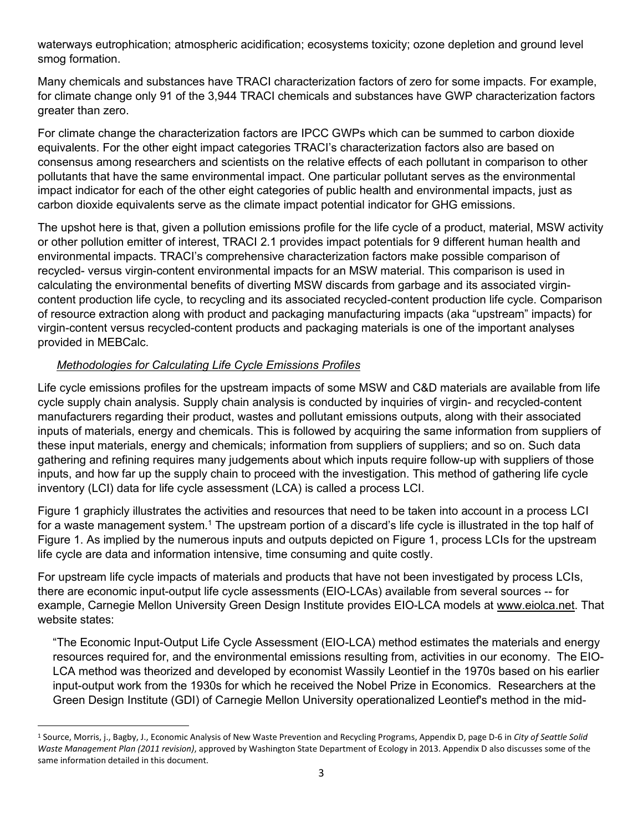waterways eutrophication; atmospheric acidification; ecosystems toxicity; ozone depletion and ground level smog formation.

Many chemicals and substances have TRACI characterization factors of zero for some impacts. For example, for climate change only 91 of the 3,944 TRACI chemicals and substances have GWP characterization factors greater than zero.

For climate change the characterization factors are IPCC GWPs which can be summed to carbon dioxide equivalents. For the other eight impact categories TRACI's characterization factors also are based on consensus among researchers and scientists on the relative effects of each pollutant in comparison to other pollutants that have the same environmental impact. One particular pollutant serves as the environmental impact indicator for each of the other eight categories of public health and environmental impacts, just as carbon dioxide equivalents serve as the climate impact potential indicator for GHG emissions.

The upshot here is that, given a pollution emissions profile for the life cycle of a product, material, MSW activity or other pollution emitter of interest, TRACI 2.1 provides impact potentials for 9 different human health and environmental impacts. TRACI's comprehensive characterization factors make possible comparison of recycled- versus virgin-content environmental impacts for an MSW material. This comparison is used in calculating the environmental benefits of diverting MSW discards from garbage and its associated virgincontent production life cycle, to recycling and its associated recycled-content production life cycle. Comparison of resource extraction along with product and packaging manufacturing impacts (aka "upstream" impacts) for virgin-content versus recycled-content products and packaging materials is one of the important analyses provided in MEBCalc.

## *Methodologies for Calculating Life Cycle Emissions Profiles*

Life cycle emissions profiles for the upstream impacts of some MSW and C&D materials are available from life cycle supply chain analysis. Supply chain analysis is conducted by inquiries of virgin- and recycled-content manufacturers regarding their product, wastes and pollutant emissions outputs, along with their associated inputs of materials, energy and chemicals. This is followed by acquiring the same information from suppliers of these input materials, energy and chemicals; information from suppliers of suppliers; and so on. Such data gathering and refining requires many judgements about which inputs require follow-up with suppliers of those inputs, and how far up the supply chain to proceed with the investigation. This method of gathering life cycle inventory (LCI) data for life cycle assessment (LCA) is called a process LCI.

Figure 1 graphicly illustrates the activities and resources that need to be taken into account in a process LCI for a waste management system.<sup>1</sup> The upstream portion of a discard's life cycle is illustrated in the top half of Figure 1. As implied by the numerous inputs and outputs depicted on Figure 1, process LCIs for the upstream life cycle are data and information intensive, time consuming and quite costly.

For upstream life cycle impacts of materials and products that have not been investigated by process LCIs, there are economic input-output life cycle assessments (EIO-LCAs) available from several sources -- for example, Carnegie Mellon University Green Design Institute provides EIO-LCA models at [www.eiolca.net.](http://www.eiolca.net/) That website states:

"The Economic Input-Output Life Cycle Assessment (EIO-LCA) method estimates the materials and energy resources required for, and the environmental emissions resulting from, activities in our economy. The EIO-LCA method was theorized and developed by economist Wassily Leontief in the 1970s based on his earlier input-output work from the 1930s for which he received the Nobel Prize in Economics. Researchers at the Green Design Institute (GDI) of Carnegie Mellon University operationalized Leontief's method in the mid-

<sup>1</sup> Source, Morris, j., Bagby, J., Economic Analysis of New Waste Prevention and Recycling Programs, Appendix D, page D-6 in *City of Seattle Solid Waste Management Plan (2011 revision)*, approved by Washington State Department of Ecology in 2013. Appendix D also discusses some of the same information detailed in this document.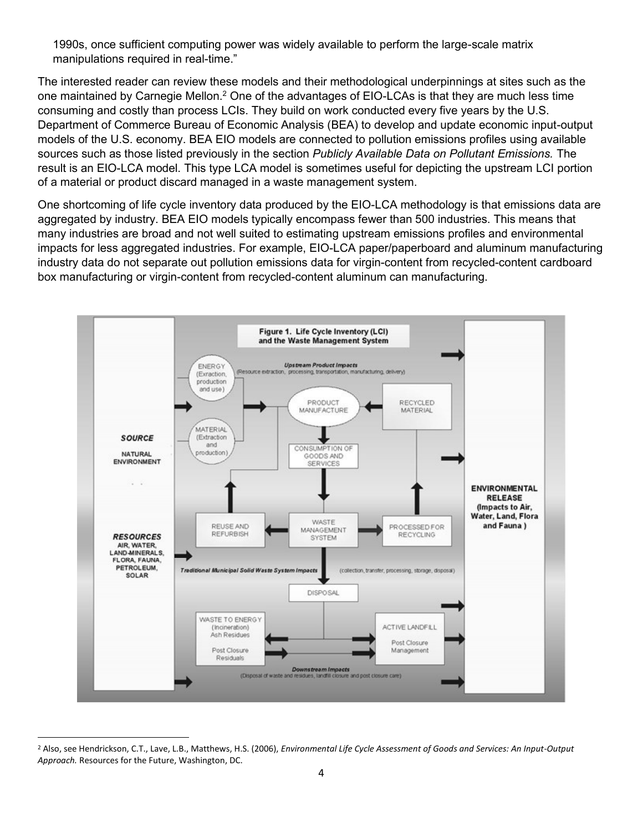1990s, once sufficient computing power was widely available to perform the large-scale matrix manipulations required in real-time."

The interested reader can review these models and their methodological underpinnings at sites such as the one maintained by Carnegie Mellon.<sup>2</sup> One of the advantages of EIO-LCAs is that they are much less time consuming and costly than process LCIs. They build on work conducted every five years by the U.S. Department of Commerce Bureau of Economic Analysis (BEA) to develop and update economic input-output models of the U.S. economy. BEA EIO models are connected to pollution emissions profiles using available sources such as those listed previously in the section *Publicly Available Data on Pollutant Emissions.* The result is an EIO-LCA model. This type LCA model is sometimes useful for depicting the upstream LCI portion of a material or product discard managed in a waste management system.

One shortcoming of life cycle inventory data produced by the EIO-LCA methodology is that emissions data are aggregated by industry. BEA EIO models typically encompass fewer than 500 industries. This means that many industries are broad and not well suited to estimating upstream emissions profiles and environmental impacts for less aggregated industries. For example, EIO-LCA paper/paperboard and aluminum manufacturing industry data do not separate out pollution emissions data for virgin-content from recycled-content cardboard box manufacturing or virgin-content from recycled-content aluminum can manufacturing.



<sup>2</sup> Also, see Hendrickson, C.T., Lave, L.B., Matthews, H.S. (2006), *Environmental Life Cycle Assessment of Goods and Services: An Input-Output Approach.* Resources for the Future, Washington, DC.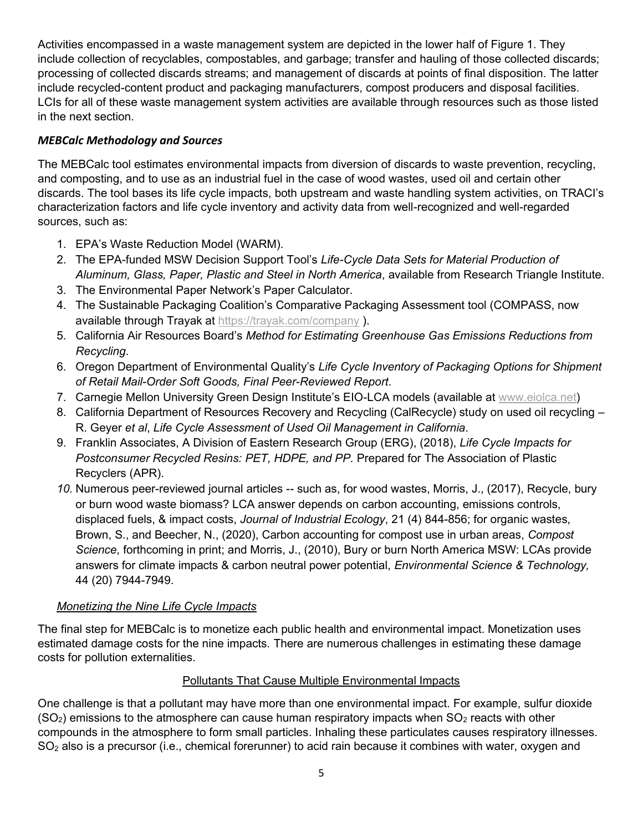Activities encompassed in a waste management system are depicted in the lower half of Figure 1. They include collection of recyclables, compostables, and garbage; transfer and hauling of those collected discards; processing of collected discards streams; and management of discards at points of final disposition. The latter include recycled-content product and packaging manufacturers, compost producers and disposal facilities. LCIs for all of these waste management system activities are available through resources such as those listed in the next section.

# *MEBCalc Methodology and Sources*

The MEBCalc tool estimates environmental impacts from diversion of discards to waste prevention, recycling, and composting, and to use as an industrial fuel in the case of wood wastes, used oil and certain other discards. The tool bases its life cycle impacts, both upstream and waste handling system activities, on TRACI's characterization factors and life cycle inventory and activity data from well-recognized and well-regarded sources, such as:

- 1. EPA's Waste Reduction Model (WARM).
- 2. The EPA-funded MSW Decision Support Tool's *Life-Cycle Data Sets for Material Production of Aluminum, Glass, Paper, Plastic and Steel in North America*, available from Research Triangle Institute.
- 3. The Environmental Paper Network's Paper Calculator.
- 4. The Sustainable Packaging Coalition's Comparative Packaging Assessment tool (COMPASS, now available through Trayak at<https://trayak.com/company> ).
- 5. California Air Resources Board's *Method for Estimating Greenhouse Gas Emissions Reductions from Recycling*.
- 6. Oregon Department of Environmental Quality's *Life Cycle Inventory of Packaging Options for Shipment of Retail Mail-Order Soft Goods, Final Peer-Reviewed Report*.
- 7. Carnegie Mellon University Green Design Institute's EIO-LCA models (available at [www.eiolca.net\)](http://www.eiolca.net/)
- 8. California Department of Resources Recovery and Recycling (CalRecycle) study on used oil recycling R. Geyer *et al*, *Life Cycle Assessment of Used Oil Management in California*.
- 9. Franklin Associates, A Division of Eastern Research Group (ERG), (2018), *Life Cycle Impacts for Postconsumer Recycled Resins: PET, HDPE, and PP.* Prepared for The Association of Plastic Recyclers (APR).
- *10.* Numerous peer-reviewed journal articles -- such as, for wood wastes, Morris, J., (2017), Recycle, bury or burn wood waste biomass? LCA answer depends on carbon accounting, emissions controls, displaced fuels, & impact costs, *Journal of Industrial Ecology*, 21 (4) 844-856; for organic wastes, Brown, S., and Beecher, N., (2020), Carbon accounting for compost use in urban areas, *Compost Science*, forthcoming in print; and Morris, J., (2010), Bury or burn North America MSW: LCAs provide answers for climate impacts & carbon neutral power potential, *Environmental Science & Technology,*  44 (20) 7944-7949.

# *Monetizing the Nine Life Cycle Impacts*

The final step for MEBCalc is to monetize each public health and environmental impact. Monetization uses estimated damage costs for the nine impacts. There are numerous challenges in estimating these damage costs for pollution externalities.

## Pollutants That Cause Multiple Environmental Impacts

One challenge is that a pollutant may have more than one environmental impact. For example, sulfur dioxide  $(SO<sub>2</sub>)$  emissions to the atmosphere can cause human respiratory impacts when  $SO<sub>2</sub>$  reacts with other compounds in the atmosphere to form small particles. Inhaling these particulates causes respiratory illnesses. SO<sub>2</sub> also is a precursor (i.e., chemical forerunner) to acid rain because it combines with water, oxygen and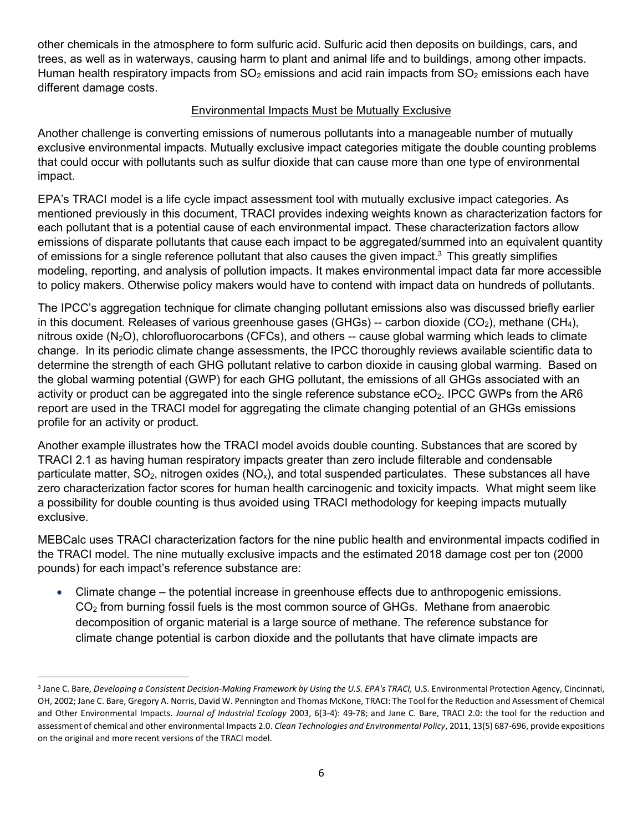other chemicals in the atmosphere to form sulfuric acid. Sulfuric acid then deposits on buildings, cars, and trees, as well as in waterways, causing harm to plant and animal life and to buildings, among other impacts. Human health respiratory impacts from  $SO<sub>2</sub>$  emissions and acid rain impacts from  $SO<sub>2</sub>$  emissions each have different damage costs.

## Environmental Impacts Must be Mutually Exclusive

Another challenge is converting emissions of numerous pollutants into a manageable number of mutually exclusive environmental impacts. Mutually exclusive impact categories mitigate the double counting problems that could occur with pollutants such as sulfur dioxide that can cause more than one type of environmental impact.

EPA's TRACI model is a life cycle impact assessment tool with mutually exclusive impact categories. As mentioned previously in this document, TRACI provides indexing weights known as characterization factors for each pollutant that is a potential cause of each environmental impact. These characterization factors allow emissions of disparate pollutants that cause each impact to be aggregated/summed into an equivalent quantity of emissions for a single reference pollutant that also causes the given impact.<sup>3</sup> This greatly simplifies modeling, reporting, and analysis of pollution impacts. It makes environmental impact data far more accessible to policy makers. Otherwise policy makers would have to contend with impact data on hundreds of pollutants.

The IPCC's aggregation technique for climate changing pollutant emissions also was discussed briefly earlier in this document. Releases of various greenhouse gases (GHGs) -- carbon dioxide (CO<sub>2</sub>), methane (CH<sub>4</sub>), nitrous oxide  $(N_2O)$ , chlorofluorocarbons (CFCs), and others  $-$  cause global warming which leads to climate change. In its periodic climate change assessments, the IPCC thoroughly reviews available scientific data to determine the strength of each GHG pollutant relative to carbon dioxide in causing global warming. Based on the global warming potential (GWP) for each GHG pollutant, the emissions of all GHGs associated with an activity or product can be aggregated into the single reference substance  $eCO<sub>2</sub>$ . IPCC GWPs from the AR6 report are used in the TRACI model for aggregating the climate changing potential of an GHGs emissions profile for an activity or product.

Another example illustrates how the TRACI model avoids double counting. Substances that are scored by TRACI 2.1 as having human respiratory impacts greater than zero include filterable and condensable particulate matter,  $SO_2$ , nitrogen oxides ( $NO_x$ ), and total suspended particulates. These substances all have zero characterization factor scores for human health carcinogenic and toxicity impacts. What might seem like a possibility for double counting is thus avoided using TRACI methodology for keeping impacts mutually exclusive.

MEBCalc uses TRACI characterization factors for the nine public health and environmental impacts codified in the TRACI model. The nine mutually exclusive impacts and the estimated 2018 damage cost per ton (2000 pounds) for each impact's reference substance are:

• Climate change – the potential increase in greenhouse effects due to anthropogenic emissions. CO<sup>2</sup> from burning fossil fuels is the most common source of GHGs. Methane from anaerobic decomposition of organic material is a large source of methane. The reference substance for climate change potential is carbon dioxide and the pollutants that have climate impacts are

<sup>3</sup> Jane C. Bare, *Developing a Consistent Decision-Making Framework by Using the U.S. EPA's TRACI,* U.S. Environmental Protection Agency, Cincinnati, OH, 2002; Jane C. Bare, Gregory A. Norris, David W. Pennington and Thomas McKone, TRACI: The Tool for the Reduction and Assessment of Chemical and Other Environmental Impacts. *Journal of Industrial Ecology* 2003, 6(3-4): 49-78; and Jane C. Bare, TRACI 2.0: the tool for the reduction and assessment of chemical and other environmental Impacts 2.0. *Clean Technologies and Environmental Policy*, 2011, 13(5) 687-696, provide expositions on the original and more recent versions of the TRACI model.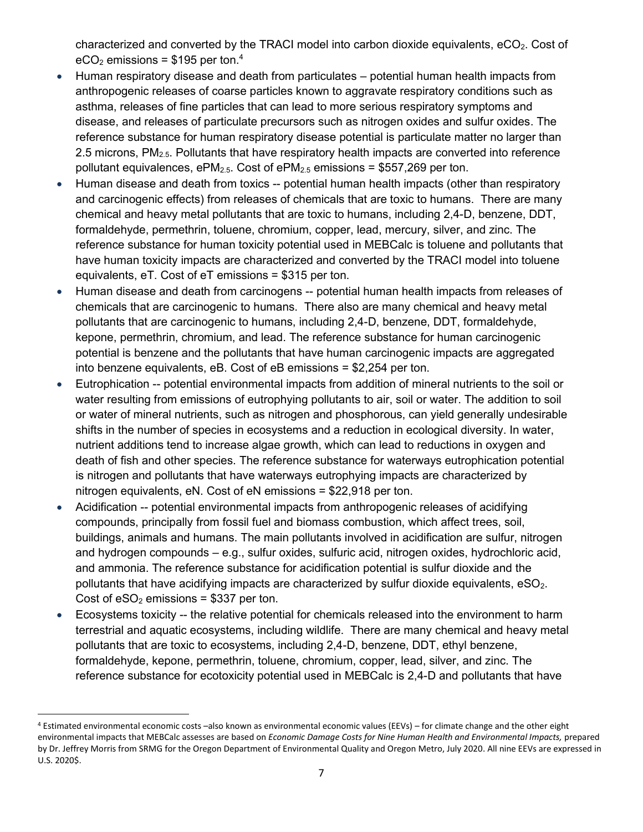characterized and converted by the TRACI model into carbon dioxide equivalents,  $eCO<sub>2</sub>$ . Cost of  $eCO<sub>2</sub>$  emissions = \$195 per ton.<sup>4</sup>

- Human respiratory disease and death from particulates potential human health impacts from anthropogenic releases of coarse particles known to aggravate respiratory conditions such as asthma, releases of fine particles that can lead to more serious respiratory symptoms and disease, and releases of particulate precursors such as nitrogen oxides and sulfur oxides. The reference substance for human respiratory disease potential is particulate matter no larger than 2.5 microns, PM<sub>2.5</sub>. Pollutants that have respiratory health impacts are converted into reference pollutant equivalences,  $ePM<sub>2.5</sub>$ . Cost of  $ePM<sub>2.5</sub>$  emissions = \$557,269 per ton.
- Human disease and death from toxics -- potential human health impacts (other than respiratory and carcinogenic effects) from releases of chemicals that are toxic to humans. There are many chemical and heavy metal pollutants that are toxic to humans, including 2,4-D, benzene, DDT, formaldehyde, permethrin, toluene, chromium, copper, lead, mercury, silver, and zinc. The reference substance for human toxicity potential used in MEBCalc is toluene and pollutants that have human toxicity impacts are characterized and converted by the TRACI model into toluene equivalents, eT. Cost of eT emissions = \$315 per ton.
- Human disease and death from carcinogens -- potential human health impacts from releases of chemicals that are carcinogenic to humans. There also are many chemical and heavy metal pollutants that are carcinogenic to humans, including 2,4-D, benzene, DDT, formaldehyde, kepone, permethrin, chromium, and lead. The reference substance for human carcinogenic potential is benzene and the pollutants that have human carcinogenic impacts are aggregated into benzene equivalents, eB. Cost of eB emissions = \$2,254 per ton.
- Eutrophication -- potential environmental impacts from addition of mineral nutrients to the soil or water resulting from emissions of eutrophying pollutants to air, soil or water. The addition to soil or water of mineral nutrients, such as nitrogen and phosphorous, can yield generally undesirable shifts in the number of species in ecosystems and a reduction in ecological diversity. In water, nutrient additions tend to increase algae growth, which can lead to reductions in oxygen and death of fish and other species. The reference substance for waterways eutrophication potential is nitrogen and pollutants that have waterways eutrophying impacts are characterized by nitrogen equivalents, eN. Cost of eN emissions = \$22,918 per ton.
- Acidification -- potential environmental impacts from anthropogenic releases of acidifying compounds, principally from fossil fuel and biomass combustion, which affect trees, soil, buildings, animals and humans. The main pollutants involved in acidification are sulfur, nitrogen and hydrogen compounds – e.g., sulfur oxides, sulfuric acid, nitrogen oxides, hydrochloric acid, and ammonia. The reference substance for acidification potential is sulfur dioxide and the pollutants that have acidifying impacts are characterized by sulfur dioxide equivalents,  $eSO<sub>2</sub>$ . Cost of  $eSO<sub>2</sub>$  emissions = \$337 per ton.
- Ecosystems toxicity -- the relative potential for chemicals released into the environment to harm terrestrial and aquatic ecosystems, including wildlife. There are many chemical and heavy metal pollutants that are toxic to ecosystems, including 2,4-D, benzene, DDT, ethyl benzene, formaldehyde, kepone, permethrin, toluene, chromium, copper, lead, silver, and zinc. The reference substance for ecotoxicity potential used in MEBCalc is 2,4-D and pollutants that have

<sup>4</sup> Estimated environmental economic costs –also known as environmental economic values (EEVs) – for climate change and the other eight environmental impacts that MEBCalc assesses are based on *Economic Damage Costs for Nine Human Health and Environmental Impacts,* prepared by Dr. Jeffrey Morris from SRMG for the Oregon Department of Environmental Quality and Oregon Metro, July 2020. All nine EEVs are expressed in U.S. 2020\$.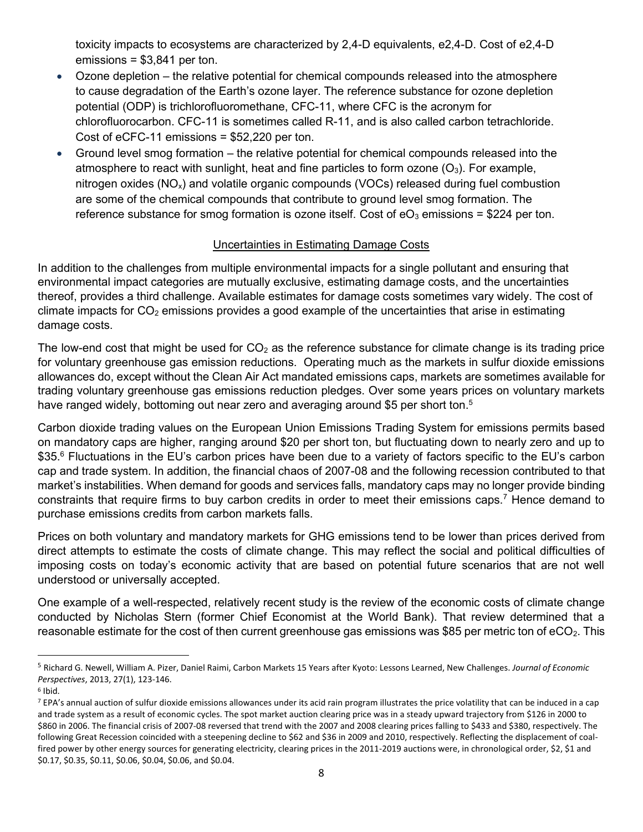toxicity impacts to ecosystems are characterized by 2,4-D equivalents, e2,4-D. Cost of e2,4-D emissions = \$3,841 per ton.

- Ozone depletion the relative potential for chemical compounds released into the atmosphere to cause degradation of the Earth's ozone layer. The reference substance for ozone depletion potential (ODP) is trichlorofluoromethane, CFC-11, where CFC is the acronym for chlorofluorocarbon. CFC-11 is sometimes called R-11, and is also called carbon tetrachloride. Cost of eCFC-11 emissions = \$52,220 per ton.
- Ground level smog formation the relative potential for chemical compounds released into the atmosphere to react with sunlight, heat and fine particles to form ozone  $(O_3)$ . For example, nitrogen oxides ( $NO_x$ ) and volatile organic compounds ( $VOCs$ ) released during fuel combustion are some of the chemical compounds that contribute to ground level smog formation. The reference substance for smog formation is ozone itself. Cost of  $eO<sub>3</sub>$  emissions = \$224 per ton.

## Uncertainties in Estimating Damage Costs

In addition to the challenges from multiple environmental impacts for a single pollutant and ensuring that environmental impact categories are mutually exclusive, estimating damage costs, and the uncertainties thereof, provides a third challenge. Available estimates for damage costs sometimes vary widely. The cost of climate impacts for  $CO<sub>2</sub>$  emissions provides a good example of the uncertainties that arise in estimating damage costs.

The low-end cost that might be used for  $CO<sub>2</sub>$  as the reference substance for climate change is its trading price for voluntary greenhouse gas emission reductions. Operating much as the markets in sulfur dioxide emissions allowances do, except without the Clean Air Act mandated emissions caps, markets are sometimes available for trading voluntary greenhouse gas emissions reduction pledges. Over some years prices on voluntary markets have ranged widely, bottoming out near zero and averaging around \$5 per short ton.<sup>5</sup>

Carbon dioxide trading values on the European Union Emissions Trading System for emissions permits based on mandatory caps are higher, ranging around \$20 per short ton, but fluctuating down to nearly zero and up to \$35.<sup>6</sup> Fluctuations in the EU's carbon prices have been due to a variety of factors specific to the EU's carbon cap and trade system. In addition, the financial chaos of 2007-08 and the following recession contributed to that market's instabilities. When demand for goods and services falls, mandatory caps may no longer provide binding constraints that require firms to buy carbon credits in order to meet their emissions caps.<sup>7</sup> Hence demand to purchase emissions credits from carbon markets falls.

Prices on both voluntary and mandatory markets for GHG emissions tend to be lower than prices derived from direct attempts to estimate the costs of climate change. This may reflect the social and political difficulties of imposing costs on today's economic activity that are based on potential future scenarios that are not well understood or universally accepted.

One example of a well-respected, relatively recent study is the review of the economic costs of climate change conducted by Nicholas Stern (former Chief Economist at the World Bank). That review determined that a reasonable estimate for the cost of then current greenhouse gas emissions was \$85 per metric ton of eCO<sub>2</sub>. This

<sup>5</sup> Richard G. Newell, William A. Pizer, Daniel Raimi, Carbon Markets 15 Years after Kyoto: Lessons Learned, New Challenges. *Journal of Economic Perspectives*, 2013, 27(1), 123-146.

<sup>6</sup> Ibid.

 $7$  EPA's annual auction of sulfur dioxide emissions allowances under its acid rain program illustrates the price volatility that can be induced in a cap and trade system as a result of economic cycles. The spot market auction clearing price was in a steady upward trajectory from \$126 in 2000 to \$860 in 2006. The financial crisis of 2007-08 reversed that trend with the 2007 and 2008 clearing prices falling to \$433 and \$380, respectively. The following Great Recession coincided with a steepening decline to \$62 and \$36 in 2009 and 2010, respectively. Reflecting the displacement of coalfired power by other energy sources for generating electricity, clearing prices in the 2011-2019 auctions were, in chronological order, \$2, \$1 and \$0.17, \$0.35, \$0.11, \$0.06, \$0.04, \$0.06, and \$0.04.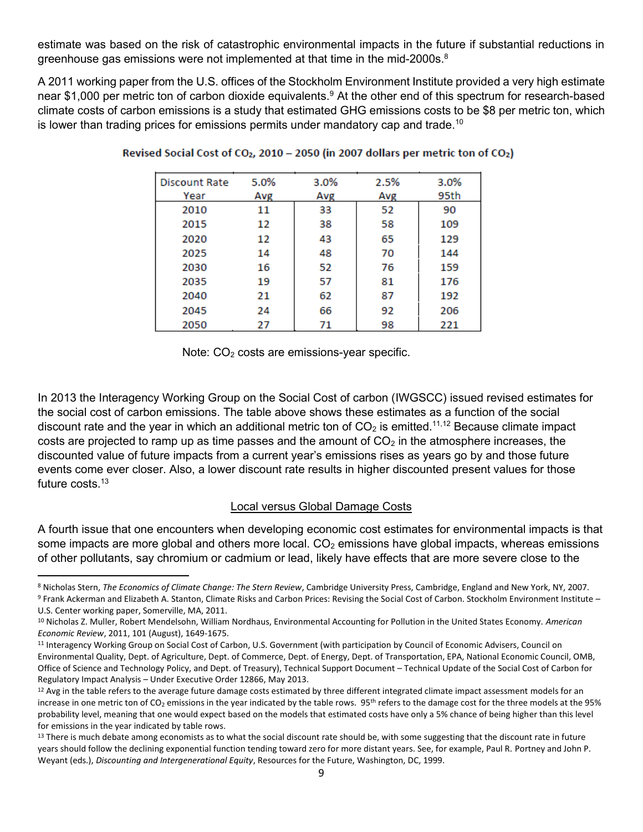estimate was based on the risk of catastrophic environmental impacts in the future if substantial reductions in greenhouse gas emissions were not implemented at that time in the mid-2000s. $8$ 

A 2011 working paper from the U.S. offices of the Stockholm Environment Institute provided a very high estimate near \$1,000 per metric ton of carbon dioxide equivalents.<sup>9</sup> At the other end of this spectrum for research-based climate costs of carbon emissions is a study that estimated GHG emissions costs to be \$8 per metric ton, which is lower than trading prices for emissions permits under mandatory cap and trade.<sup>10</sup>

| Discount Rate | 5.0% | 3.0% | 2.5% | 3.0% |
|---------------|------|------|------|------|
| Year          | Avg  | Avg  | Avg  | 95th |
| 2010          | 11   | 33   | 52   | 90   |
| 2015          | 12   | 38   | 58   | 109  |
| 2020          | 12   | 43   | 65   | 129  |
| 2025          | 14   | 48   | 70   | 144  |
| 2030          | 16   | 52   | 76   | 159  |
| 2035          | 19   | 57   | 81   | 176  |
| 2040          | 21   | 62   | 87   | 192  |
| 2045          | 24   | 66   | 92   | 206  |
| 2050          | 27   | 71   | 98   | 221  |

| Revised Social Cost of CO <sub>2</sub> , 2010 - 2050 (in 2007 dollars per metric ton of CO <sub>2</sub> ) |  |  |
|-----------------------------------------------------------------------------------------------------------|--|--|
|                                                                                                           |  |  |

Note: CO<sub>2</sub> costs are emissions-year specific.

In 2013 the Interagency Working Group on the Social Cost of carbon (IWGSCC) issued revised estimates for the social cost of carbon emissions. The table above shows these estimates as a function of the social discount rate and the year in which an additional metric ton of  $CO<sub>2</sub>$  is emitted.<sup>11,12</sup> Because climate impact costs are projected to ramp up as time passes and the amount of  $CO<sub>2</sub>$  in the atmosphere increases, the discounted value of future impacts from a current year's emissions rises as years go by and those future events come ever closer. Also, a lower discount rate results in higher discounted present values for those future costs.<sup>13</sup>

### Local versus Global Damage Costs

A fourth issue that one encounters when developing economic cost estimates for environmental impacts is that some impacts are more global and others more local.  $CO<sub>2</sub>$  emissions have global impacts, whereas emissions of other pollutants, say chromium or cadmium or lead, likely have effects that are more severe close to the

<sup>8</sup> Nicholas Stern, *The Economics of Climate Change: The Stern Review*, Cambridge University Press, Cambridge, England and New York, NY, 2007. <sup>9</sup> Frank Ackerman and Elizabeth A. Stanton, Climate Risks and Carbon Prices: Revising the Social Cost of Carbon. Stockholm Environment Institute – U.S. Center working paper, Somerville, MA, 2011.

<sup>10</sup> Nicholas Z. Muller, Robert Mendelsohn, William Nordhaus, Environmental Accounting for Pollution in the United States Economy. *American Economic Review*, 2011, 101 (August), 1649-1675.

<sup>11</sup> Interagency Working Group on Social Cost of Carbon, U.S. Government (with participation by Council of Economic Advisers, Council on Environmental Quality, Dept. of Agriculture, Dept. of Commerce, Dept. of Energy, Dept. of Transportation, EPA, National Economic Council, OMB, Office of Science and Technology Policy, and Dept. of Treasury), Technical Support Document – Technical Update of the Social Cost of Carbon for Regulatory Impact Analysis – Under Executive Order 12866, May 2013.

<sup>&</sup>lt;sup>12</sup> Avg in the table refers to the average future damage costs estimated by three different integrated climate impact assessment models for an increase in one metric ton of CO<sub>2</sub> emissions in the year indicated by the table rows. 95<sup>th</sup> refers to the damage cost for the three models at the 95% probability level, meaning that one would expect based on the models that estimated costs have only a 5% chance of being higher than this level for emissions in the year indicated by table rows.

<sup>&</sup>lt;sup>13</sup> There is much debate among economists as to what the social discount rate should be, with some suggesting that the discount rate in future years should follow the declining exponential function tending toward zero for more distant years. See, for example, Paul R. Portney and John P. Weyant (eds.), *Discounting and Intergenerational Equity*, Resources for the Future, Washington, DC, 1999.